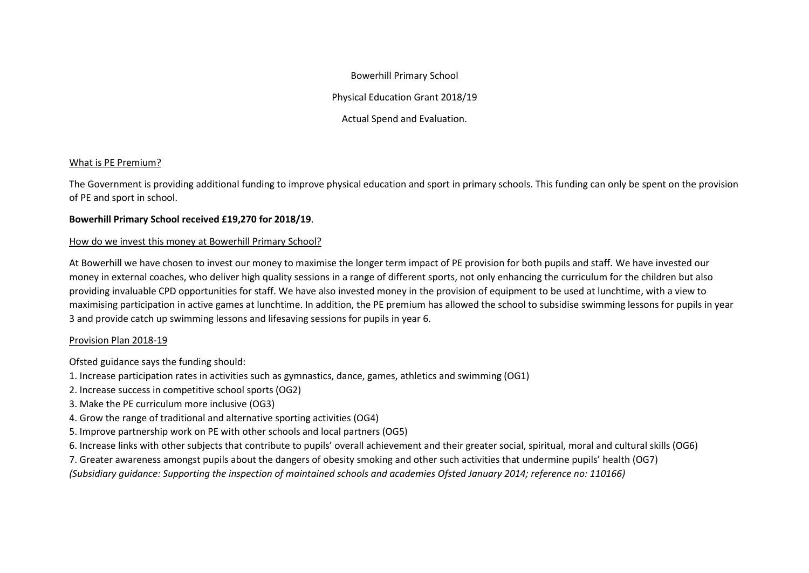Bowerhill Primary School

Physical Education Grant 2018/19

Actual Spend and Evaluation.

## What is PE Premium?

The Government is providing additional funding to improve physical education and sport in primary schools. This funding can only be spent on the provision of PE and sport in school.

## **Bowerhill Primary School received £19,270 for 2018/19**.

## How do we invest this money at Bowerhill Primary School?

At Bowerhill we have chosen to invest our money to maximise the longer term impact of PE provision for both pupils and staff. We have invested our money in external coaches, who deliver high quality sessions in a range of different sports, not only enhancing the curriculum for the children but also providing invaluable CPD opportunities for staff. We have also invested money in the provision of equipment to be used at lunchtime, with a view to maximising participation in active games at lunchtime. In addition, the PE premium has allowed the school to subsidise swimming lessons for pupils in year 3 and provide catch up swimming lessons and lifesaving sessions for pupils in year 6.

## Provision Plan 2018-19

Ofsted guidance says the funding should:

- 1. Increase participation rates in activities such as gymnastics, dance, games, athletics and swimming (OG1)
- 2. Increase success in competitive school sports (OG2)
- 3. Make the PE curriculum more inclusive (OG3)
- 4. Grow the range of traditional and alternative sporting activities (OG4)
- 5. Improve partnership work on PE with other schools and local partners (OG5)
- 6. Increase links with other subjects that contribute to pupils' overall achievement and their greater social, spiritual, moral and cultural skills (OG6)
- 7. Greater awareness amongst pupils about the dangers of obesity smoking and other such activities that undermine pupils' health (OG7)
- *(Subsidiary guidance: Supporting the inspection of maintained schools and academies Ofsted January 2014; reference no: 110166)*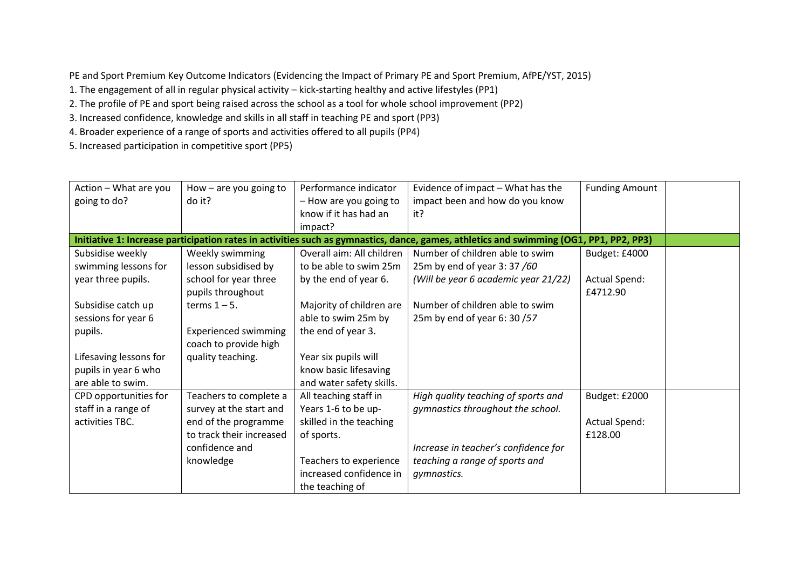PE and Sport Premium Key Outcome Indicators (Evidencing the Impact of Primary PE and Sport Premium, AfPE/YST, 2015)

1. The engagement of all in regular physical activity – kick-starting healthy and active lifestyles (PP1)

2. The profile of PE and sport being raised across the school as a tool for whole school improvement (PP2)

3. Increased confidence, knowledge and skills in all staff in teaching PE and sport (PP3)

4. Broader experience of a range of sports and activities offered to all pupils (PP4)

5. Increased participation in competitive sport (PP5)

| Action - What are you  | How $-$ are you going to    | Performance indicator     | Evidence of impact - What has the                                                                                       | <b>Funding Amount</b> |
|------------------------|-----------------------------|---------------------------|-------------------------------------------------------------------------------------------------------------------------|-----------------------|
| going to do?           | do it?                      | - How are you going to    | impact been and how do you know                                                                                         |                       |
|                        |                             | know if it has had an     | it?                                                                                                                     |                       |
|                        |                             | impact?                   |                                                                                                                         |                       |
|                        |                             |                           | Initiative 1: Increase participation rates in activities such as gymnastics, dance, games, athletics and swimming (OG1, | <b>PP1, PP2, PP3)</b> |
| Subsidise weekly       | Weekly swimming             | Overall aim: All children | Number of children able to swim                                                                                         | Budget: £4000         |
| swimming lessons for   | lesson subsidised by        | to be able to swim 25m    | 25m by end of year 3:37/60                                                                                              |                       |
| year three pupils.     | school for year three       | by the end of year 6.     | (Will be year 6 academic year 21/22)                                                                                    | <b>Actual Spend:</b>  |
|                        | pupils throughout           |                           |                                                                                                                         | £4712.90              |
| Subsidise catch up     | terms $1 - 5$ .             | Majority of children are  | Number of children able to swim                                                                                         |                       |
| sessions for year 6    |                             | able to swim 25m by       | 25m by end of year 6: 30 /57                                                                                            |                       |
| pupils.                | <b>Experienced swimming</b> | the end of year 3.        |                                                                                                                         |                       |
|                        | coach to provide high       |                           |                                                                                                                         |                       |
| Lifesaving lessons for | quality teaching.           | Year six pupils will      |                                                                                                                         |                       |
| pupils in year 6 who   |                             | know basic lifesaving     |                                                                                                                         |                       |
| are able to swim.      |                             | and water safety skills.  |                                                                                                                         |                       |
| CPD opportunities for  | Teachers to complete a      | All teaching staff in     | High quality teaching of sports and                                                                                     | Budget: £2000         |
| staff in a range of    | survey at the start and     | Years 1-6 to be up-       | gymnastics throughout the school.                                                                                       |                       |
| activities TBC.        | end of the programme        | skilled in the teaching   |                                                                                                                         | Actual Spend:         |
|                        | to track their increased    | of sports.                |                                                                                                                         | £128.00               |
|                        | confidence and              |                           | Increase in teacher's confidence for                                                                                    |                       |
|                        | knowledge                   | Teachers to experience    | teaching a range of sports and                                                                                          |                       |
|                        |                             | increased confidence in   | gymnastics.                                                                                                             |                       |
|                        |                             | the teaching of           |                                                                                                                         |                       |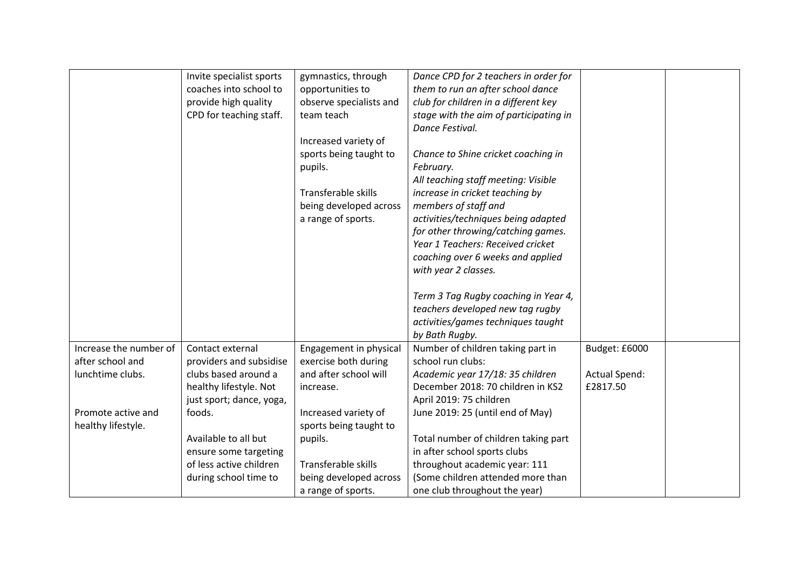|                        | Invite specialist sports | gymnastics, through     | Dance CPD for 2 teachers in order for  |                      |  |
|------------------------|--------------------------|-------------------------|----------------------------------------|----------------------|--|
|                        | coaches into school to   | opportunities to        | them to run an after school dance      |                      |  |
|                        | provide high quality     | observe specialists and | club for children in a different key   |                      |  |
|                        | CPD for teaching staff.  | team teach              | stage with the aim of participating in |                      |  |
|                        |                          |                         | Dance Festival.                        |                      |  |
|                        |                          | Increased variety of    |                                        |                      |  |
|                        |                          |                         |                                        |                      |  |
|                        |                          | sports being taught to  | Chance to Shine cricket coaching in    |                      |  |
|                        |                          | pupils.                 | February.                              |                      |  |
|                        |                          |                         | All teaching staff meeting: Visible    |                      |  |
|                        |                          | Transferable skills     | increase in cricket teaching by        |                      |  |
|                        |                          | being developed across  | members of staff and                   |                      |  |
|                        |                          | a range of sports.      | activities/techniques being adapted    |                      |  |
|                        |                          |                         | for other throwing/catching games.     |                      |  |
|                        |                          |                         | Year 1 Teachers: Received cricket      |                      |  |
|                        |                          |                         | coaching over 6 weeks and applied      |                      |  |
|                        |                          |                         | with year 2 classes.                   |                      |  |
|                        |                          |                         |                                        |                      |  |
|                        |                          |                         | Term 3 Tag Rugby coaching in Year 4,   |                      |  |
|                        |                          |                         | teachers developed new tag rugby       |                      |  |
|                        |                          |                         | activities/games techniques taught     |                      |  |
|                        |                          |                         | by Bath Rugby.                         |                      |  |
| Increase the number of | Contact external         | Engagement in physical  | Number of children taking part in      | Budget: £6000        |  |
| after school and       | providers and subsidise  | exercise both during    | school run clubs:                      |                      |  |
| lunchtime clubs.       | clubs based around a     | and after school will   | Academic year 17/18: 35 children       | <b>Actual Spend:</b> |  |
|                        | healthy lifestyle. Not   | increase.               | December 2018: 70 children in KS2      | £2817.50             |  |
|                        | just sport; dance, yoga, |                         | April 2019: 75 children                |                      |  |
| Promote active and     | foods.                   | Increased variety of    | June 2019: 25 (until end of May)       |                      |  |
| healthy lifestyle.     |                          | sports being taught to  |                                        |                      |  |
|                        | Available to all but     | pupils.                 | Total number of children taking part   |                      |  |
|                        | ensure some targeting    |                         | in after school sports clubs           |                      |  |
|                        | of less active children  | Transferable skills     | throughout academic year: 111          |                      |  |
|                        | during school time to    | being developed across  | (Some children attended more than      |                      |  |
|                        |                          | a range of sports.      | one club throughout the year)          |                      |  |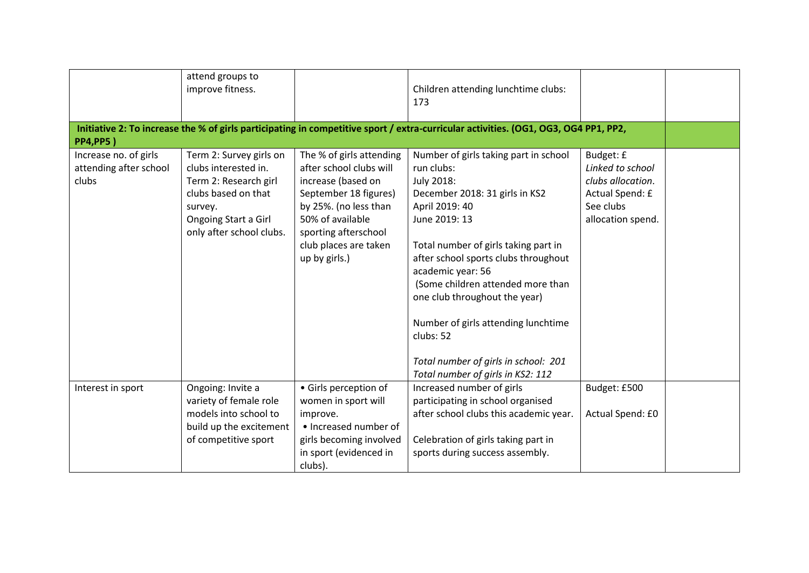|                                                          | attend groups to<br>improve fitness.                                                                                                                           |                                                                                                                                                                                                                   | Children attending lunchtime clubs:<br>173<br>Initiative 2: To increase the % of girls participating in competitive sport / extra-curricular activities. (OG1, OG3, OG4 PP1, PP2,                                                                                                                                                                                                                                                                  |                                                                                                         |  |
|----------------------------------------------------------|----------------------------------------------------------------------------------------------------------------------------------------------------------------|-------------------------------------------------------------------------------------------------------------------------------------------------------------------------------------------------------------------|----------------------------------------------------------------------------------------------------------------------------------------------------------------------------------------------------------------------------------------------------------------------------------------------------------------------------------------------------------------------------------------------------------------------------------------------------|---------------------------------------------------------------------------------------------------------|--|
| <b>PP4,PP5</b> )                                         |                                                                                                                                                                |                                                                                                                                                                                                                   |                                                                                                                                                                                                                                                                                                                                                                                                                                                    |                                                                                                         |  |
| Increase no. of girls<br>attending after school<br>clubs | Term 2: Survey girls on<br>clubs interested in.<br>Term 2: Research girl<br>clubs based on that<br>survey.<br>Ongoing Start a Girl<br>only after school clubs. | The % of girls attending<br>after school clubs will<br>increase (based on<br>September 18 figures)<br>by 25%. (no less than<br>50% of available<br>sporting afterschool<br>club places are taken<br>up by girls.) | Number of girls taking part in school<br>run clubs:<br>July 2018:<br>December 2018: 31 girls in KS2<br>April 2019: 40<br>June 2019: 13<br>Total number of girls taking part in<br>after school sports clubs throughout<br>academic year: 56<br>(Some children attended more than<br>one club throughout the year)<br>Number of girls attending lunchtime<br>clubs: 52<br>Total number of girls in school: 201<br>Total number of girls in KS2: 112 | Budget: £<br>Linked to school<br>clubs allocation.<br>Actual Spend: £<br>See clubs<br>allocation spend. |  |
| Interest in sport                                        | Ongoing: Invite a<br>variety of female role<br>models into school to<br>build up the excitement<br>of competitive sport                                        | • Girls perception of<br>women in sport will<br>improve.<br>• Increased number of<br>girls becoming involved<br>in sport (evidenced in<br>clubs).                                                                 | Increased number of girls<br>participating in school organised<br>after school clubs this academic year.<br>Celebration of girls taking part in<br>sports during success assembly.                                                                                                                                                                                                                                                                 | Budget: £500<br>Actual Spend: £0                                                                        |  |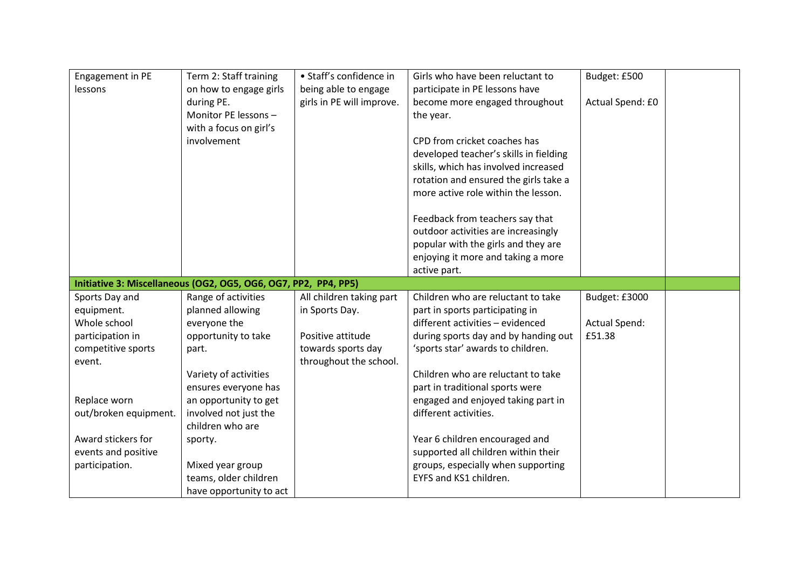| Engagement in PE      | Term 2: Staff training                                          | • Staff's confidence in   | Girls who have been reluctant to       | Budget: £500         |  |
|-----------------------|-----------------------------------------------------------------|---------------------------|----------------------------------------|----------------------|--|
| lessons               | on how to engage girls                                          | being able to engage      | participate in PE lessons have         |                      |  |
|                       | during PE.                                                      | girls in PE will improve. | become more engaged throughout         | Actual Spend: £0     |  |
|                       | Monitor PE lessons -                                            |                           | the year.                              |                      |  |
|                       | with a focus on girl's                                          |                           |                                        |                      |  |
|                       | involvement                                                     |                           | CPD from cricket coaches has           |                      |  |
|                       |                                                                 |                           | developed teacher's skills in fielding |                      |  |
|                       |                                                                 |                           | skills, which has involved increased   |                      |  |
|                       |                                                                 |                           | rotation and ensured the girls take a  |                      |  |
|                       |                                                                 |                           | more active role within the lesson.    |                      |  |
|                       |                                                                 |                           | Feedback from teachers say that        |                      |  |
|                       |                                                                 |                           | outdoor activities are increasingly    |                      |  |
|                       |                                                                 |                           | popular with the girls and they are    |                      |  |
|                       |                                                                 |                           | enjoying it more and taking a more     |                      |  |
|                       |                                                                 |                           | active part.                           |                      |  |
|                       | Initiative 3: Miscellaneous (OG2, OG5, OG6, OG7, PP2, PP4, PP5) |                           |                                        |                      |  |
| Sports Day and        | Range of activities                                             | All children taking part  | Children who are reluctant to take     | Budget: £3000        |  |
| equipment.            | planned allowing                                                | in Sports Day.            | part in sports participating in        |                      |  |
| Whole school          | everyone the                                                    |                           | different activities - evidenced       | <b>Actual Spend:</b> |  |
| participation in      | opportunity to take                                             | Positive attitude         | during sports day and by handing out   | £51.38               |  |
| competitive sports    | part.                                                           | towards sports day        | 'sports star' awards to children.      |                      |  |
| event.                |                                                                 | throughout the school.    |                                        |                      |  |
|                       | Variety of activities                                           |                           | Children who are reluctant to take     |                      |  |
|                       | ensures everyone has                                            |                           | part in traditional sports were        |                      |  |
| Replace worn          | an opportunity to get                                           |                           | engaged and enjoyed taking part in     |                      |  |
| out/broken equipment. | involved not just the                                           |                           | different activities.                  |                      |  |
|                       | children who are                                                |                           |                                        |                      |  |
| Award stickers for    | sporty.                                                         |                           | Year 6 children encouraged and         |                      |  |
| events and positive   |                                                                 |                           | supported all children within their    |                      |  |
| participation.        | Mixed year group                                                |                           | groups, especially when supporting     |                      |  |
|                       | teams, older children                                           |                           | EYFS and KS1 children.                 |                      |  |
|                       | have opportunity to act                                         |                           |                                        |                      |  |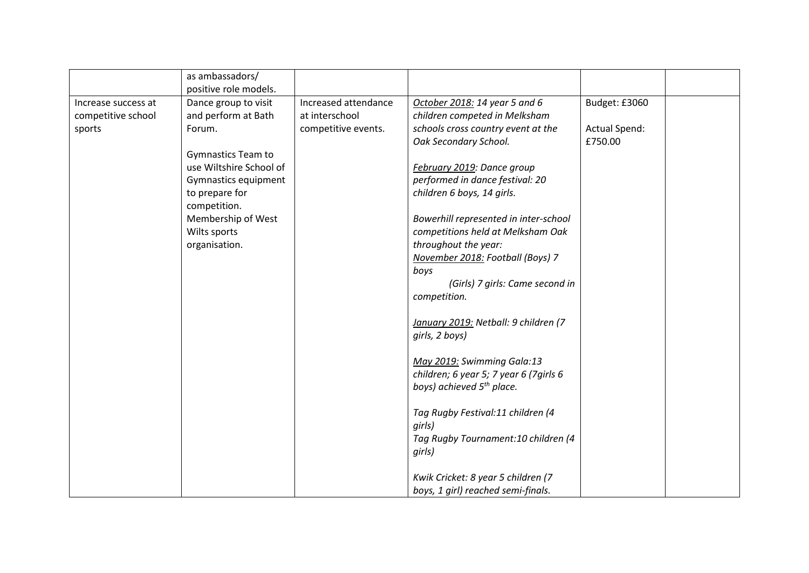|                     | as ambassadors/<br>positive role models. |                      |                                         |                      |  |
|---------------------|------------------------------------------|----------------------|-----------------------------------------|----------------------|--|
| Increase success at | Dance group to visit                     | Increased attendance | October 2018: 14 year 5 and 6           | Budget: £3060        |  |
|                     |                                          |                      |                                         |                      |  |
| competitive school  | and perform at Bath                      | at interschool       | children competed in Melksham           |                      |  |
| sports              | Forum.                                   | competitive events.  | schools cross country event at the      | <b>Actual Spend:</b> |  |
|                     |                                          |                      | Oak Secondary School.                   | £750.00              |  |
|                     | <b>Gymnastics Team to</b>                |                      |                                         |                      |  |
|                     | use Wiltshire School of                  |                      | February 2019: Dance group              |                      |  |
|                     | Gymnastics equipment                     |                      | performed in dance festival: 20         |                      |  |
|                     | to prepare for                           |                      | children 6 boys, 14 girls.              |                      |  |
|                     | competition.                             |                      |                                         |                      |  |
|                     | Membership of West                       |                      | Bowerhill represented in inter-school   |                      |  |
|                     | Wilts sports                             |                      | competitions held at Melksham Oak       |                      |  |
|                     | organisation.                            |                      | throughout the year:                    |                      |  |
|                     |                                          |                      | November 2018: Football (Boys) 7        |                      |  |
|                     |                                          |                      | boys                                    |                      |  |
|                     |                                          |                      | (Girls) 7 girls: Came second in         |                      |  |
|                     |                                          |                      | competition.                            |                      |  |
|                     |                                          |                      |                                         |                      |  |
|                     |                                          |                      |                                         |                      |  |
|                     |                                          |                      | January 2019: Netball: 9 children (7    |                      |  |
|                     |                                          |                      | girls, 2 boys)                          |                      |  |
|                     |                                          |                      | May 2019: Swimming Gala:13              |                      |  |
|                     |                                          |                      | children; 6 year 5; 7 year 6 (7 girls 6 |                      |  |
|                     |                                          |                      | boys) achieved 5 <sup>th</sup> place.   |                      |  |
|                     |                                          |                      |                                         |                      |  |
|                     |                                          |                      | Tag Rugby Festival:11 children (4       |                      |  |
|                     |                                          |                      | girls)                                  |                      |  |
|                     |                                          |                      | Tag Rugby Tournament: 10 children (4    |                      |  |
|                     |                                          |                      | girls)                                  |                      |  |
|                     |                                          |                      |                                         |                      |  |
|                     |                                          |                      | Kwik Cricket: 8 year 5 children (7      |                      |  |
|                     |                                          |                      | boys, 1 girl) reached semi-finals.      |                      |  |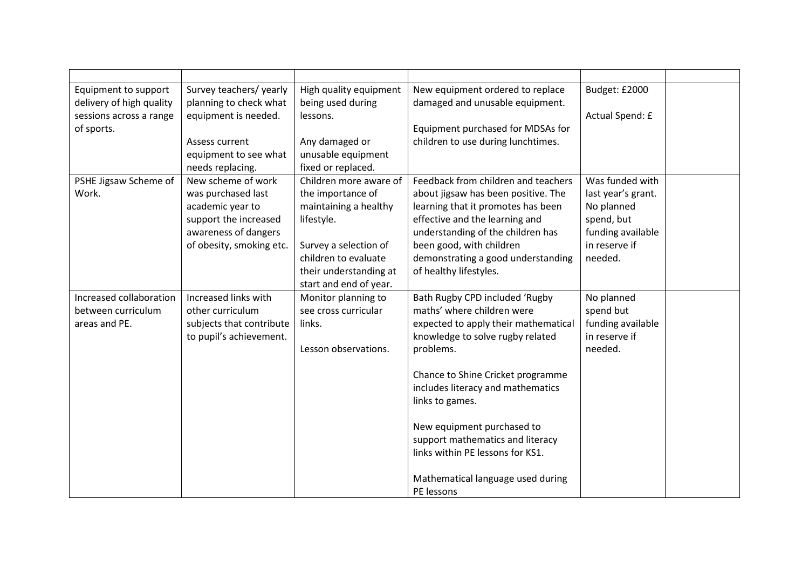| Equipment to support     | Survey teachers/ yearly  | High quality equipment | New equipment ordered to replace     | Budget: £2000      |  |
|--------------------------|--------------------------|------------------------|--------------------------------------|--------------------|--|
| delivery of high quality | planning to check what   | being used during      | damaged and unusable equipment.      |                    |  |
| sessions across a range  | equipment is needed.     | lessons.               |                                      | Actual Spend: £    |  |
| of sports.               |                          |                        | Equipment purchased for MDSAs for    |                    |  |
|                          | Assess current           | Any damaged or         | children to use during lunchtimes.   |                    |  |
|                          | equipment to see what    | unusable equipment     |                                      |                    |  |
|                          | needs replacing.         | fixed or replaced.     |                                      |                    |  |
| PSHE Jigsaw Scheme of    | New scheme of work       | Children more aware of | Feedback from children and teachers  | Was funded with    |  |
| Work.                    | was purchased last       | the importance of      | about jigsaw has been positive. The  | last year's grant. |  |
|                          | academic year to         | maintaining a healthy  | learning that it promotes has been   | No planned         |  |
|                          | support the increased    | lifestyle.             | effective and the learning and       | spend, but         |  |
|                          | awareness of dangers     |                        | understanding of the children has    | funding available  |  |
|                          | of obesity, smoking etc. | Survey a selection of  | been good, with children             | in reserve if      |  |
|                          |                          | children to evaluate   | demonstrating a good understanding   | needed.            |  |
|                          |                          | their understanding at | of healthy lifestyles.               |                    |  |
|                          |                          | start and end of year. |                                      |                    |  |
| Increased collaboration  | Increased links with     | Monitor planning to    | Bath Rugby CPD included 'Rugby       | No planned         |  |
| between curriculum       | other curriculum         | see cross curricular   | maths' where children were           | spend but          |  |
| areas and PE.            | subjects that contribute | links.                 | expected to apply their mathematical | funding available  |  |
|                          | to pupil's achievement.  |                        | knowledge to solve rugby related     | in reserve if      |  |
|                          |                          | Lesson observations.   | problems.                            | needed.            |  |
|                          |                          |                        |                                      |                    |  |
|                          |                          |                        | Chance to Shine Cricket programme    |                    |  |
|                          |                          |                        | includes literacy and mathematics    |                    |  |
|                          |                          |                        | links to games.                      |                    |  |
|                          |                          |                        | New equipment purchased to           |                    |  |
|                          |                          |                        | support mathematics and literacy     |                    |  |
|                          |                          |                        | links within PE lessons for KS1.     |                    |  |
|                          |                          |                        |                                      |                    |  |
|                          |                          |                        | Mathematical language used during    |                    |  |
|                          |                          |                        | PE lessons                           |                    |  |